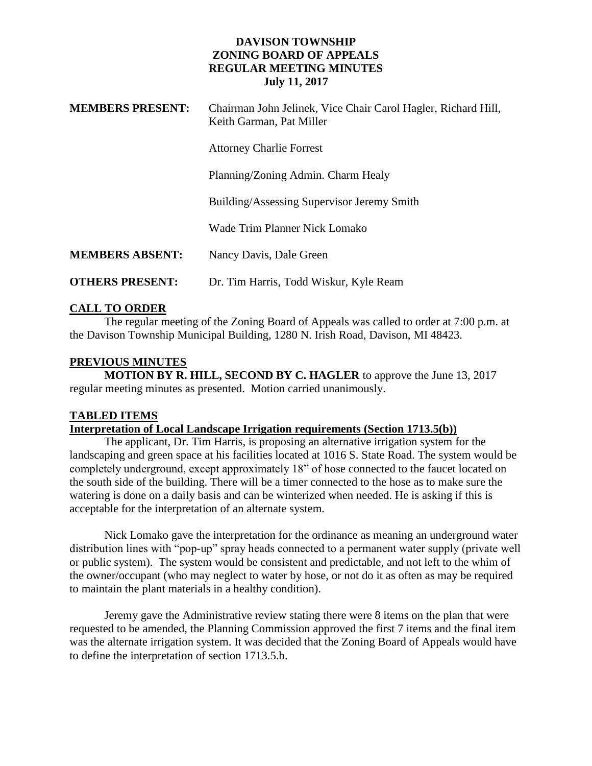### **DAVISON TOWNSHIP ZONING BOARD OF APPEALS REGULAR MEETING MINUTES July 11, 2017**

| <b>MEMBERS PRESENT:</b> | Chairman John Jelinek, Vice Chair Carol Hagler, Richard Hill,<br>Keith Garman, Pat Miller |
|-------------------------|-------------------------------------------------------------------------------------------|
|                         | <b>Attorney Charlie Forrest</b>                                                           |
|                         | Planning/Zoning Admin. Charm Healy                                                        |
|                         | Building/Assessing Supervisor Jeremy Smith                                                |
|                         | Wade Trim Planner Nick Lomako                                                             |
| <b>MEMBERS ABSENT:</b>  | Nancy Davis, Dale Green                                                                   |
| <b>OTHERS PRESENT:</b>  | Dr. Tim Harris, Todd Wiskur, Kyle Ream                                                    |

## **CALL TO ORDER**

The regular meeting of the Zoning Board of Appeals was called to order at 7:00 p.m. at the Davison Township Municipal Building, 1280 N. Irish Road, Davison, MI 48423.

# **PREVIOUS MINUTES**

**MOTION BY R. HILL, SECOND BY C. HAGLER** to approve the June 13, 2017 regular meeting minutes as presented. Motion carried unanimously.

## **TABLED ITEMS**

## **Interpretation of Local Landscape Irrigation requirements (Section 1713.5(b))**

The applicant, Dr. Tim Harris, is proposing an alternative irrigation system for the landscaping and green space at his facilities located at 1016 S. State Road. The system would be completely underground, except approximately 18" of hose connected to the faucet located on the south side of the building. There will be a timer connected to the hose as to make sure the watering is done on a daily basis and can be winterized when needed. He is asking if this is acceptable for the interpretation of an alternate system.

Nick Lomako gave the interpretation for the ordinance as meaning an underground water distribution lines with "pop-up" spray heads connected to a permanent water supply (private well or public system). The system would be consistent and predictable, and not left to the whim of the owner/occupant (who may neglect to water by hose, or not do it as often as may be required to maintain the plant materials in a healthy condition).

Jeremy gave the Administrative review stating there were 8 items on the plan that were requested to be amended, the Planning Commission approved the first 7 items and the final item was the alternate irrigation system. It was decided that the Zoning Board of Appeals would have to define the interpretation of section 1713.5.b.